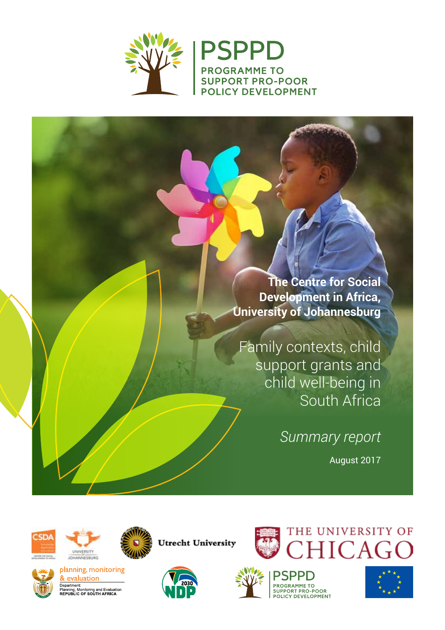

**The Centre for Social Development in Africa, University of Johannesburg**

Family contexts, child support grants and child well-being in South Africa

*Summary report*

August 2017







planning, monitoring & evaluation Department:<br>Planning, Monitoring and Evaluation<br>REPUBLIC OF SOUTH AFRICA



**Utrecht University** 





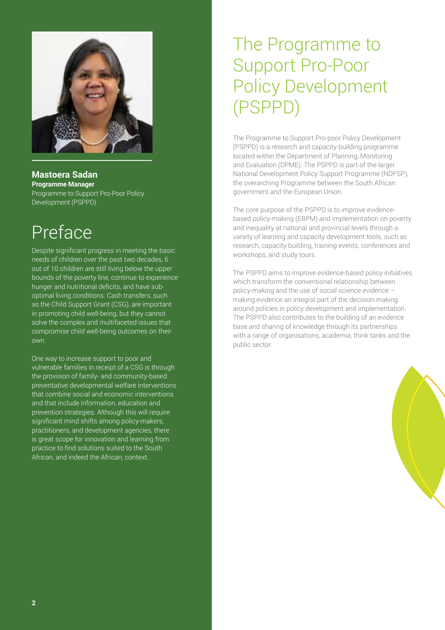

**Mastoera Sadan Programme Manager** Programme to Support Pro-Poor Policy Development (PSPPD)

## Preface

Despite significant progress in meeting the basic needs of children over the past two decades, 6 out of 10 children are still living below the upper bounds of the poverty line, continue to experience hunger and nutritional deficits, and have suboptimal living conditions. Cash transfers, such as the Child Support Grant (CSG), are important in promoting child well-being, but they cannot solve the complex and multifaceted issues that compromise child well-being outcomes on their own.

One way to increase support to poor and vulnerable families in receipt of a CSG is through the provision of family- and community-based preventative developmental welfare interventions that combine social and economic interventions and that include information, education and prevention strategies. Although this will require significant mind shifts among policy-makers, practitioners, and development agencies, there is great scope for innovation and learning from practice to find solutions suited to the South African, and indeed the African, context.

## The Programme to Support Pro-Poor Policy Development (PSPPD)

The Programme to Support Pro-poor Policy Development (PSPPD) is a research and capacity-building programme located within the Department of Planning, Monitoring and Evaluation (DPME). The PSPPD is part of the larger National Development Policy Support Programme (NDPSP), the overarching Programme between the South African government and the European Union.

The core purpose of the PSPPD is to improve evidencebased policy-making (EBPM) and implementation on poverty and inequality at national and provincial levels through a variety of learning and capacity development tools, such as research, capacity building, training events, conferences and workshops, and study tours.

The PSPPD aims to improve evidence-based policy initiatives which transform the conventional relationship between policy-making and the use of social science evidence – making evidence an integral part of the decision-making around policies in policy development and implementation. The PSPPD also contributes to the building of an evidence base and sharing of knowledge through its partnerships with a range of organisations, academia, think tanks and the public sector.

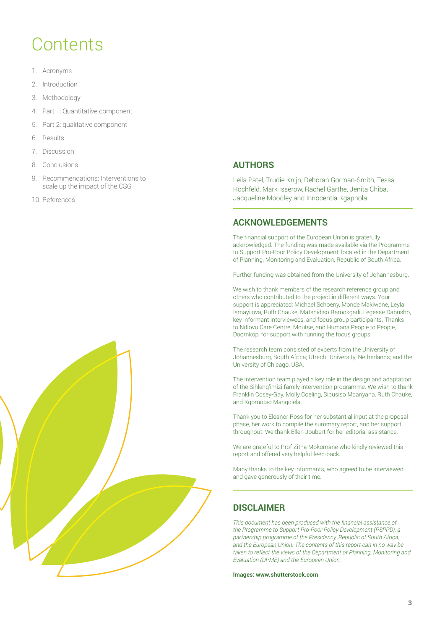## **Contents**

- 1. Acronyms
- 2. Introduction
- 3. Methodology
- 4. Part 1: Quantitative component
- 5. Part 2: qualitative component
- 6. Results
- 7. Discussion
- 8. Conclusions
- 9. Recommendations: Interventions to scale up the impact of the CSG
- 10. References



#### **AUTHORS**

Leila Patel, Trudie Knijn, Deborah Gorman-Smith, Tessa Hochfeld, Mark Isserow, Rachel Garthe, Jenita Chiba, Jacqueline Moodley and Innocentia Kgaphola

#### **ACKNOWLEDGEMENTS**

The financial support of the European Union is gratefully acknowledged. The funding was made available via the Programme to Support Pro-Poor Policy Development, located in the Department of Planning, Monitoring and Evaluation, Republic of South Africa.

Further funding was obtained from the University of Johannesburg.

We wish to thank members of the research reference group and others who contributed to the project in different ways. Your support is appreciated: Michael Schoeny, Monde Makiwane, Leyla Ismayilova, Ruth Chauke, Matshidiso Ramokgadi, Legesse Dabusho, key informant interviewees, and focus group participants. Thanks to Ndlovu Care Centre, Moutse, and Humana People to People, Doornkop, for support with running the focus groups.

The research team consisted of experts from the University of Johannesburg, South Africa; Utrecht University, Netherlands; and the University of Chicago, USA.

The intervention team played a key role in the design and adaptation of the Sihleng'imizi family intervention programme. We wish to thank Franklin Cosey-Gay, Molly Coeling, Sibusiso Mcanyana, Ruth Chauke, and Kgomotso Mangolela.

Thank you to Eleanor Ross for her substantial input at the proposal phase, her work to compile the summary report, and her support throughout. We thank Ellen Joubert for her editorial assistance.

We are grateful to Prof Zitha Mokomane who kindly reviewed this report and offered very helpful feed-back.

Many thanks to the key informants, who agreed to be interviewed and gave generously of their time.

#### **DISCLAIMER**

*This document has been produced with the financial assistance of the Programme to Support Pro-Poor Policy Development (PSPPD), a partnership programme of the Presidency, Republic of South Africa, and the European Union. The contents of this report can in no way be taken to reflect the views of the Department of Planning, Monitoring and Evaluation (DPME) and the European Union.*

**Images: www.shutterstock.com**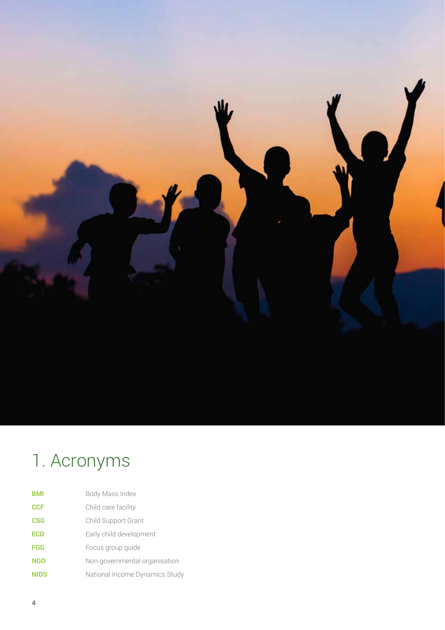

# 1. Acronyms

| <b>BMI</b>  | Body Mass Index                |
|-------------|--------------------------------|
| <b>CCF</b>  | Child care facility            |
| <b>CSG</b>  | Child Support Grant            |
| <b>ECD</b>  | Early child development        |
| <b>FGG</b>  | Focus group quide              |
| <b>NGO</b>  | Non-governmental organisation  |
| <b>NIDS</b> | National Income Dynamics Study |
|             |                                |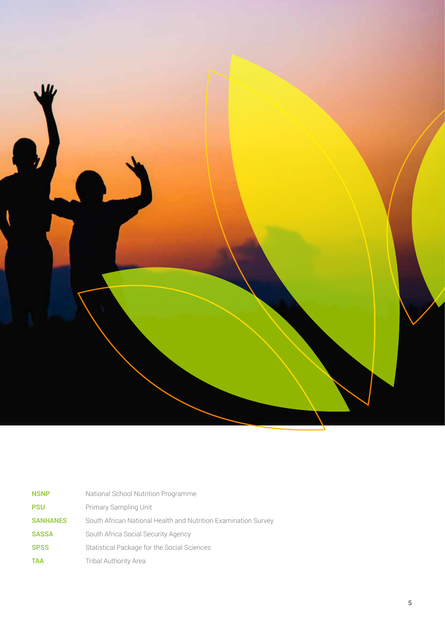

| <b>NSNP</b>     | National School Nutrition Programme                            |
|-----------------|----------------------------------------------------------------|
| <b>PSU</b>      | Primary Sampling Unit                                          |
| <b>SANHANES</b> | South African National Health and Nutrition Examination Survey |
| <b>SASSA</b>    | South Africa Social Security Agency                            |
| <b>SPSS</b>     | Statistical Package for the Social Sciences                    |
| <b>TAA</b>      | <b>Tribal Authority Area</b>                                   |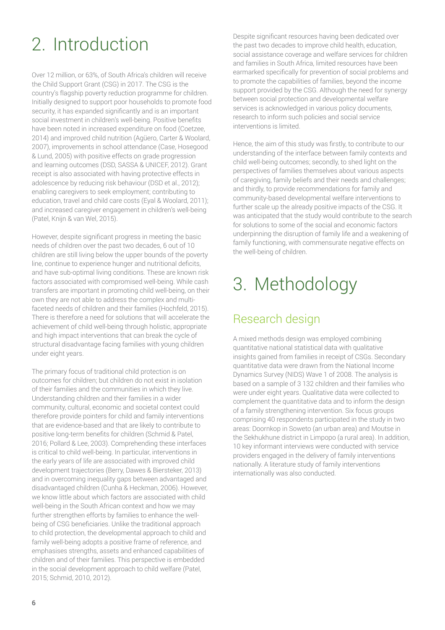# 2. Introduction

Over 12 million, or 63%, of South Africa's children will receive the Child Support Grant (CSG) in 2017. The CSG is the country's flagship poverty reduction programme for children. Initially designed to support poor households to promote food security, it has expanded significantly and is an important social investment in children's well-being. Positive benefits have been noted in increased expenditure on food (Coetzee, 2014) and improved child nutrition (Agüero, Carter & Woolard, 2007), improvements in school attendance (Case, Hosegood & Lund, 2005) with positive effects on grade progression and learning outcomes (DSD, SASSA & UNICEF, 2012). Grant receipt is also associated with having protective effects in adolescence by reducing risk behaviour (DSD et al., 2012); enabling caregivers to seek employment; contributing to education, travel and child care costs (Eyal & Woolard, 2011); and increased caregiver engagement in children's well-being (Patel, Knijn & van Wel, 2015).

However, despite significant progress in meeting the basic needs of children over the past two decades, 6 out of 10 children are still living below the upper bounds of the poverty line, continue to experience hunger and nutritional deficits, and have sub-optimal living conditions. These are known risk factors associated with compromised well-being. While cash transfers are important in promoting child well-being, on their own they are not able to address the complex and multifaceted needs of children and their families (Hochfeld, 2015). There is therefore a need for solutions that will accelerate the achievement of child well-being through holistic, appropriate and high impact interventions that can break the cycle of structural disadvantage facing families with young children under eight years.

The primary focus of traditional child protection is on outcomes for children; but children do not exist in isolation of their families and the communities in which they live. Understanding children and their families in a wider community, cultural, economic and societal context could therefore provide pointers for child and family interventions that are evidence-based and that are likely to contribute to positive long-term benefits for children (Schmid & Patel, 2016; Pollard & Lee, 2003). Comprehending these interfaces is critical to child well-being. In particular, interventions in the early years of life are associated with improved child development trajectories (Berry, Dawes & Biersteker, 2013) and in overcoming inequality gaps between advantaged and disadvantaged children (Cunha & Heckman, 2006). However, we know little about which factors are associated with child well-being in the South African context and how we may further strengthen efforts by families to enhance the wellbeing of CSG beneficiaries. Unlike the traditional approach to child protection, the developmental approach to child and family well-being adopts a positive frame of reference, and emphasises strengths, assets and enhanced capabilities of children and of their families. This perspective is embedded in the social development approach to child welfare (Patel, 2015; Schmid, 2010, 2012).

Despite significant resources having been dedicated over the past two decades to improve child health, education, social assistance coverage and welfare services for children and families in South Africa, limited resources have been earmarked specifically for prevention of social problems and to promote the capabilities of families, beyond the income support provided by the CSG. Although the need for synergy between social protection and developmental welfare services is acknowledged in various policy documents, research to inform such policies and social service interventions is limited.

Hence, the aim of this study was firstly, to contribute to our understanding of the interface between family contexts and child well-being outcomes; secondly, to shed light on the perspectives of families themselves about various aspects of caregiving, family beliefs and their needs and challenges; and thirdly, to provide recommendations for family and community-based developmental welfare interventions to further scale up the already positive impacts of the CSG. It was anticipated that the study would contribute to the search for solutions to some of the social and economic factors underpinning the disruption of family life and a weakening of family functioning, with commensurate negative effects on the well-being of children.

# 3. Methodology

### Research design

A mixed methods design was employed combining quantitative national statistical data with qualitative insights gained from families in receipt of CSGs. Secondary quantitative data were drawn from the National Income Dynamics Survey (NIDS) Wave 1 of 2008. The analysis is based on a sample of 3 132 children and their families who were under eight years. Qualitative data were collected to complement the quantitative data and to inform the design of a family strengthening intervention. Six focus groups comprising 40 respondents participated in the study in two areas: Doornkop in Soweto (an urban area) and Moutse in the Sekhukhune district in Limpopo (a rural area). In addition, 10 key informant interviews were conducted with service providers engaged in the delivery of family interventions nationally. A literature study of family interventions internationally was also conducted.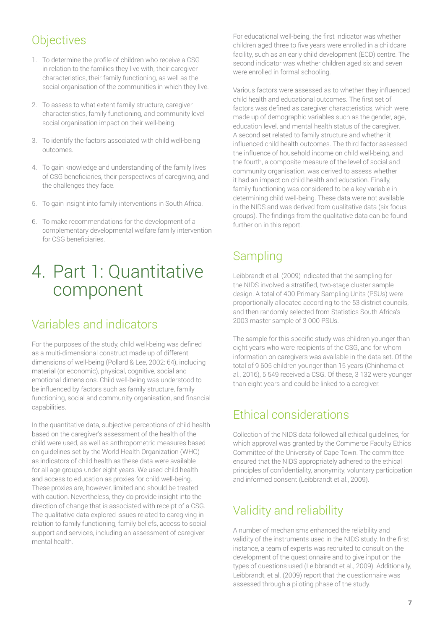### **Objectives**

- 1. To determine the profile of children who receive a CSG in relation to the families they live with, their caregiver characteristics, their family functioning, as well as the social organisation of the communities in which they live.
- 2. To assess to what extent family structure, caregiver characteristics, family functioning, and community level social organisation impact on their well-being.
- 3. To identify the factors associated with child well-being outcomes.
- 4. To gain knowledge and understanding of the family lives of CSG beneficiaries, their perspectives of caregiving, and the challenges they face.
- 5. To gain insight into family interventions in South Africa.
- 6. To make recommendations for the development of a complementary developmental welfare family intervention for CSG beneficiaries.

## 4. Part 1: Quantitative component

### Variables and indicators

For the purposes of the study, child well-being was defined as a multi-dimensional construct made up of different dimensions of well-being (Pollard & Lee, 2002: 64), including material (or economic), physical, cognitive, social and emotional dimensions. Child well-being was understood to be influenced by factors such as family structure, family functioning, social and community organisation, and financial capabilities.

In the quantitative data, subjective perceptions of child health based on the caregiver's assessment of the health of the child were used, as well as anthropometric measures based on guidelines set by the World Health Organization (WHO) as indicators of child health as these data were available for all age groups under eight years. We used child health and access to education as proxies for child well-being. These proxies are, however, limited and should be treated with caution. Nevertheless, they do provide insight into the direction of change that is associated with receipt of a CSG. The qualitative data explored issues related to caregiving in relation to family functioning, family beliefs, access to social support and services, including an assessment of caregiver mental health.

For educational well-being, the first indicator was whether children aged three to five years were enrolled in a childcare facility, such as an early child development (ECD) centre. The second indicator was whether children aged six and seven were enrolled in formal schooling.

Various factors were assessed as to whether they influenced child health and educational outcomes. The first set of factors was defined as caregiver characteristics, which were made up of demographic variables such as the gender, age, education level, and mental health status of the caregiver. A second set related to family structure and whether it influenced child health outcomes. The third factor assessed the influence of household income on child well-being, and the fourth, a composite measure of the level of social and community organisation, was derived to assess whether it had an impact on child health and education. Finally, family functioning was considered to be a key variable in determining child well-being. These data were not available in the NIDS and was derived from qualitative data (six focus groups). The findings from the qualitative data can be found further on in this report.

### **Sampling**

Leibbrandt et al. (2009) indicated that the sampling for the NIDS involved a stratified, two-stage cluster sample design. A total of 400 Primary Sampling Units (PSUs) were proportionally allocated according to the 53 district councils, and then randomly selected from Statistics South Africa's 2003 master sample of 3 000 PSUs.

The sample for this specific study was children younger than eight years who were recipients of the CSG, and for whom information on caregivers was available in the data set. Of the total of 9 605 children younger than 15 years (Chinhema et al., 2016), 5 549 received a CSG. Of these, 3 132 were younger than eight years and could be linked to a caregiver.

### Ethical considerations

Collection of the NIDS data followed all ethical guidelines, for which approval was granted by the Commerce Faculty Ethics Committee of the University of Cape Town. The committee ensured that the NIDS appropriately adhered to the ethical principles of confidentiality, anonymity, voluntary participation and informed consent (Leibbrandt et al., 2009).

### Validity and reliability

A number of mechanisms enhanced the reliability and validity of the instruments used in the NIDS study. In the first instance, a team of experts was recruited to consult on the development of the questionnaire and to give input on the types of questions used (Leibbrandt et al., 2009). Additionally, Leibbrandt, et al. (2009) report that the questionnaire was assessed through a piloting phase of the study.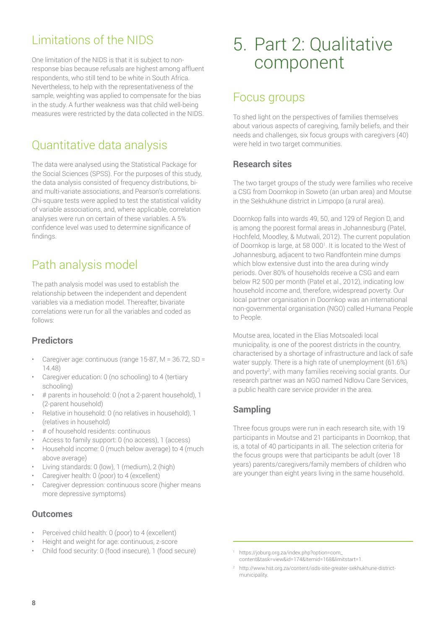### Limitations of the NIDS

One limitation of the NIDS is that it is subject to nonresponse bias because refusals are highest among affluent respondents, who still tend to be white in South Africa. Nevertheless, to help with the representativeness of the sample, weighting was applied to compensate for the bias in the study. A further weakness was that child well-being measures were restricted by the data collected in the NIDS.

### Quantitative data analysis

The data were analysed using the Statistical Package for the Social Sciences (SPSS). For the purposes of this study, the data analysis consisted of frequency distributions, biand multi-variate associations, and Pearson's correlations. Chi-square tests were applied to test the statistical validity of variable associations, and, where applicable, correlation analyses were run on certain of these variables. A 5% confidence level was used to determine significance of findings.

### Path analysis model

The path analysis model was used to establish the relationship between the independent and dependent variables via a mediation model. Thereafter, bivariate correlations were run for all the variables and coded as follows:

### **Predictors**

- Caregiver age: continuous (range 15-87, M = 36.72, SD = 14.48)
- Caregiver education: 0 (no schooling) to 4 (tertiary schooling)
- # parents in household: 0 (not a 2-parent household), 1 (2-parent household)
- Relative in household: 0 (no relatives in household), 1 (relatives in household)
- # of household residents: continuous
- Access to family support: 0 (no access), 1 (access)
- Household income: 0 (much below average) to 4 (much above average)
- Living standards: 0 (low), 1 (medium), 2 (high)
- Caregiver health: 0 (poor) to 4 (excellent)
- Caregiver depression: continuous score (higher means more depressive symptoms)

#### **Outcomes**

- Perceived child health: 0 (poor) to 4 (excellent)
- Height and weight for age: continuous, z-score
- Child food security: 0 (food insecure), 1 (food secure)

## 5. Part 2: Qualitative component

### Focus groups

To shed light on the perspectives of families themselves about various aspects of caregiving, family beliefs, and their needs and challenges, six focus groups with caregivers (40) were held in two target communities.

### **Research sites**

The two target groups of the study were families who receive a CSG from Doornkop in Soweto (an urban area) and Moutse in the Sekhukhune district in Limpopo (a rural area).

Doornkop falls into wards 49, 50, and 129 of Region D, and is among the poorest formal areas in Johannesburg (Patel, Hochfeld, Moodley, & Mutwali, 2012). The current population of Doornkop is large, at 58 000<sup>1</sup>. It is located to the West of Johannesburg, adjacent to two Randfontein mine dumps which blow extensive dust into the area during windy periods. Over 80% of households receive a CSG and earn below R2 500 per month (Patel et al., 2012), indicating low household income and, therefore, widespread poverty. Our local partner organisation in Doornkop was an international non-governmental organisation (NGO) called Humana People to People.

Moutse area, located in the Elias Motsoaledi local municipality, is one of the poorest districts in the country, characterised by a shortage of infrastructure and lack of safe water supply. There is a high rate of unemployment (61.6%) and poverty<sup>2</sup>, with many families receiving social grants. Our research partner was an NGO named Ndlovu Care Services, a public health care service provider in the area.

### **Sampling**

Three focus groups were run in each research site, with 19 participants in Moutse and 21 participants in Doornkop, that is, a total of 40 participants in all. The selection criteria for the focus groups were that participants be adult (over 18 years) parents/caregivers/family members of children who are younger than eight years living in the same household.

<sup>1</sup> https://joburg.org.za/index.php?option=com\_ content&task=view&id=174&Itemid=168&limitstart=1.

<sup>2</sup> http://www.hst.org.za/content/isds-site-greater-sekhukhune-districtmunicipality.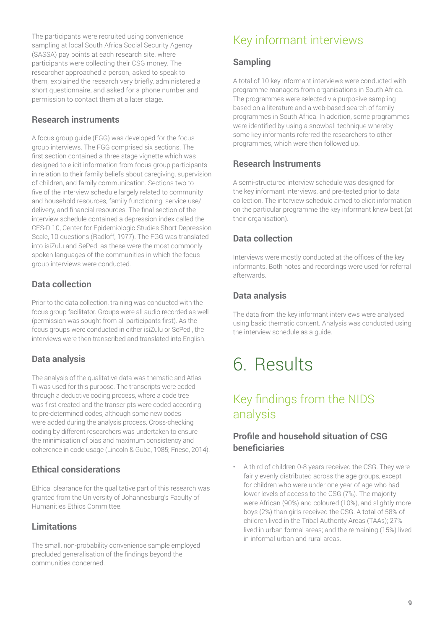The participants were recruited using convenience sampling at local South Africa Social Security Agency (SASSA) pay points at each research site, where participants were collecting their CSG money. The researcher approached a person, asked to speak to them, explained the research very briefly, administered a short questionnaire, and asked for a phone number and permission to contact them at a later stage.

#### **Research instruments**

A focus group guide (FGG) was developed for the focus group interviews. The FGG comprised six sections. The first section contained a three stage vignette which was designed to elicit information from focus group participants in relation to their family beliefs about caregiving, supervision of children, and family communication. Sections two to five of the interview schedule largely related to community and household resources, family functioning, service use/ delivery, and financial resources. The final section of the interview schedule contained a depression index called the CES-D 10, Center for Epidemiologic Studies Short Depression Scale, 10 questions (Radloff, 1977). The FGG was translated into isiZulu and SePedi as these were the most commonly spoken languages of the communities in which the focus group interviews were conducted.

### **Data collection**

Prior to the data collection, training was conducted with the focus group facilitator. Groups were all audio recorded as well (permission was sought from all participants first). As the focus groups were conducted in either isiZulu or SePedi, the interviews were then transcribed and translated into English.

### **Data analysis**

The analysis of the qualitative data was thematic and Atlas Ti was used for this purpose. The transcripts were coded through a deductive coding process, where a code tree was first created and the transcripts were coded according to pre-determined codes, although some new codes were added during the analysis process. Cross-checking coding by different researchers was undertaken to ensure the minimisation of bias and maximum consistency and coherence in code usage (Lincoln & Guba, 1985; Friese, 2014).

#### **Ethical considerations**

Ethical clearance for the qualitative part of this research was granted from the University of Johannesburg's Faculty of Humanities Ethics Committee.

### **Limitations**

The small, non-probability convenience sample employed precluded generalisation of the findings beyond the communities concerned.

### Key informant interviews

#### **Sampling**

A total of 10 key informant interviews were conducted with programme managers from organisations in South Africa. The programmes were selected via purposive sampling based on a literature and a web-based search of family programmes in South Africa. In addition, some programmes were identified by using a snowball technique whereby some key informants referred the researchers to other programmes, which were then followed up.

#### **Research Instruments**

A semi-structured interview schedule was designed for the key informant interviews, and pre-tested prior to data collection. The interview schedule aimed to elicit information on the particular programme the key informant knew best (at their organisation).

### **Data collection**

Interviews were mostly conducted at the offices of the key informants. Both notes and recordings were used for referral afterwards.

### **Data analysis**

The data from the key informant interviews were analysed using basic thematic content. Analysis was conducted using the interview schedule as a guide.

## 6. Results

### Key findings from the NIDS analysis

### **Profile and household situation of CSG beneficiaries**

• A third of children 0-8 years received the CSG. They were fairly evenly distributed across the age groups, except for children who were under one year of age who had lower levels of access to the CSG (7%). The majority were African (90%) and coloured (10%), and slightly more boys (2%) than girls received the CSG. A total of 58% of children lived in the Tribal Authority Areas (TAAs); 27% lived in urban formal areas; and the remaining (15%) lived in informal urban and rural areas.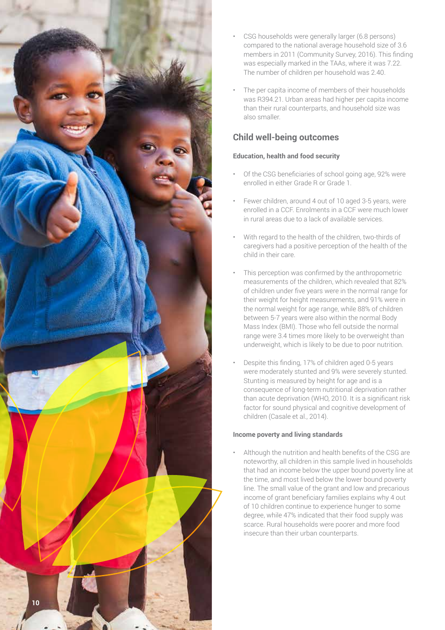

- CSG households were generally larger (6.8 persons) compared to the national average household size of 3.6 members in 2011 (Community Survey, 2016). This finding was especially marked in the TAAs, where it was 7.22. The number of children per household was 2.40.
- The per capita income of members of their households was R394.21. Urban areas had higher per capita income than their rural counterparts, and household size was also smaller.

### **Child well-being outcomes**

#### **Education, health and food security**

- Of the CSG beneficiaries of school going age, 92% were enrolled in either Grade R or Grade 1.
- Fewer children, around 4 out of 10 aged 3-5 years, were enrolled in a CCF. Enrolments in a CCF were much lower in rural areas due to a lack of available services.
- With regard to the health of the children, two-thirds of caregivers had a positive perception of the health of the child in their care.
- This perception was confirmed by the anthropometric measurements of the children, which revealed that 82% of children under five years were in the normal range for their weight for height measurements, and 91% were in the normal weight for age range, while 88% of children between 5-7 years were also within the normal Body Mass Index (BMI). Those who fell outside the normal range were 3.4 times more likely to be overweight than underweight, which is likely to be due to poor nutrition.
- Despite this finding, 17% of children aged 0-5 years were moderately stunted and 9% were severely stunted. Stunting is measured by height for age and is a consequence of long-term nutritional deprivation rather than acute deprivation (WHO, 2010. It is a significant risk factor for sound physical and cognitive development of children (Casale et al., 2014).

#### **Income poverty and living standards**

• Although the nutrition and health benefits of the CSG are noteworthy, all children in this sample lived in households that had an income below the upper bound poverty line at the time, and most lived below the lower bound poverty line. The small value of the grant and low and precarious income of grant beneficiary families explains why 4 out of 10 children continue to experience hunger to some degree, while 47% indicated that their food supply was scarce. Rural households were poorer and more food insecure than their urban counterparts.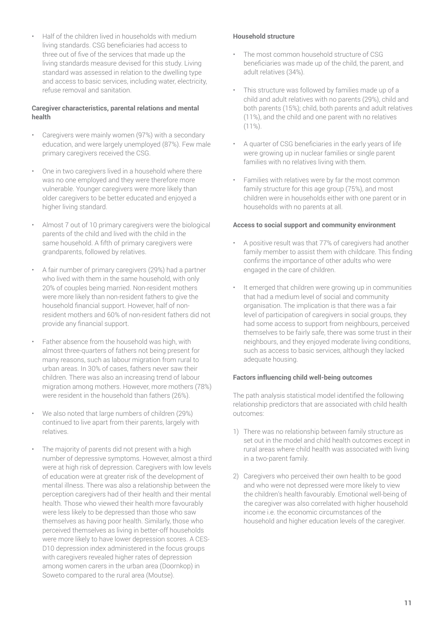• Half of the children lived in households with medium living standards. CSG beneficiaries had access to three out of five of the services that made up the living standards measure devised for this study. Living standard was assessed in relation to the dwelling type and access to basic services, including water, electricity, refuse removal and sanitation.

#### **Caregiver characteristics, parental relations and mental health**

- Caregivers were mainly women (97%) with a secondary education, and were largely unemployed (87%). Few male primary caregivers received the CSG.
- One in two caregivers lived in a household where there was no one employed and they were therefore more vulnerable. Younger caregivers were more likely than older caregivers to be better educated and enjoyed a higher living standard.
- Almost 7 out of 10 primary caregivers were the biological parents of the child and lived with the child in the same household. A fifth of primary caregivers were grandparents, followed by relatives.
- A fair number of primary caregivers (29%) had a partner who lived with them in the same household, with only 20% of couples being married. Non-resident mothers were more likely than non-resident fathers to give the household financial support. However, half of nonresident mothers and 60% of non-resident fathers did not provide any financial support.
- Father absence from the household was high, with almost three-quarters of fathers not being present for many reasons, such as labour migration from rural to urban areas. In 30% of cases, fathers never saw their children. There was also an increasing trend of labour migration among mothers. However, more mothers (78%) were resident in the household than fathers (26%).
- We also noted that large numbers of children (29%) continued to live apart from their parents, largely with relatives.
- The majority of parents did not present with a high number of depressive symptoms. However, almost a third were at high risk of depression. Caregivers with low levels of education were at greater risk of the development of mental illness. There was also a relationship between the perception caregivers had of their health and their mental health. Those who viewed their health more favourably were less likely to be depressed than those who saw themselves as having poor health. Similarly, those who perceived themselves as living in better-off households were more likely to have lower depression scores. A CES-D10 depression index administered in the focus groups with caregivers revealed higher rates of depression among women carers in the urban area (Doornkop) in Soweto compared to the rural area (Moutse).

#### **Household structure**

- The most common household structure of CSG beneficiaries was made up of the child, the parent, and adult relatives (34%).
- This structure was followed by families made up of a child and adult relatives with no parents (29%), child and both parents (15%); child, both parents and adult relatives (11%), and the child and one parent with no relatives (11%).
- A quarter of CSG beneficiaries in the early years of life were growing up in nuclear families or single parent families with no relatives living with them.
- Families with relatives were by far the most common family structure for this age group (75%), and most children were in households either with one parent or in households with no parents at all.

#### **Access to social support and community environment**

- A positive result was that 77% of caregivers had another family member to assist them with childcare. This finding confirms the importance of other adults who were engaged in the care of children.
- It emerged that children were growing up in communities that had a medium level of social and community organisation. The implication is that there was a fair level of participation of caregivers in social groups, they had some access to support from neighbours, perceived themselves to be fairly safe, there was some trust in their neighbours, and they enjoyed moderate living conditions, such as access to basic services, although they lacked adequate housing.

#### **Factors influencing child well-being outcomes**

The path analysis statistical model identified the following relationship predictors that are associated with child health outcomes:

- 1) There was no relationship between family structure as set out in the model and child health outcomes except in rural areas where child health was associated with living in a two-parent family.
- 2) Caregivers who perceived their own health to be good and who were not depressed were more likely to view the children's health favourably. Emotional well-being of the caregiver was also correlated with higher household income i.e. the economic circumstances of the household and higher education levels of the caregiver.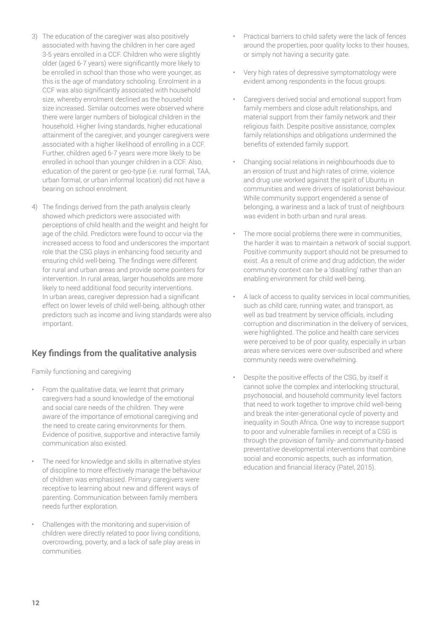- 3) The education of the caregiver was also positively associated with having the children in her care aged 3-5 years enrolled in a CCF. Children who were slightly older (aged 6-7 years) were significantly more likely to be enrolled in school than those who were younger, as this is the age of mandatory schooling. Enrolment in a CCF was also significantly associated with household size, whereby enrolment declined as the household size increased. Similar outcomes were observed where there were larger numbers of biological children in the household. Higher living standards, higher educational attainment of the caregiver, and younger caregivers were associated with a higher likelihood of enrolling in a CCF. Further, children aged 6-7 years were more likely to be enrolled in school than younger children in a CCF. Also, education of the parent or geo-type (i.e. rural formal, TAA, urban formal, or urban informal location) did not have a bearing on school enrolment.
- 4) The findings derived from the path analysis clearly showed which predictors were associated with perceptions of child health and the weight and height for age of the child. Predictors were found to occur via the increased access to food and underscores the important role that the CSG plays in enhancing food security and ensuring child well-being. The findings were different for rural and urban areas and provide some pointers for intervention. In rural areas, larger households are more likely to need additional food security interventions. In urban areas, caregiver depression had a significant effect on lower levels of child well-being, although other predictors such as income and living standards were also important.

### **Key findings from the qualitative analysis**

Family functioning and caregiving

- From the qualitative data, we learnt that primary caregivers had a sound knowledge of the emotional and social care needs of the children. They were aware of the importance of emotional caregiving and the need to create caring environments for them. Evidence of positive, supportive and interactive family communication also existed.
- The need for knowledge and skills in alternative styles of discipline to more effectively manage the behaviour of children was emphasised. Primary caregivers were receptive to learning about new and different ways of parenting. Communication between family members needs further exploration.
- Challenges with the monitoring and supervision of children were directly related to poor living conditions, overcrowding, poverty, and a lack of safe play areas in communities.
- Practical barriers to child safety were the lack of fences around the properties, poor quality locks to their houses, or simply not having a security gate.
- Very high rates of depressive symptomatology were evident among respondents in the focus groups.
- Caregivers derived social and emotional support from family members and close adult relationships, and material support from their family network and their religious faith. Despite positive assistance, complex family relationships and obligations undermined the benefits of extended family support.
- Changing social relations in neighbourhoods due to an erosion of trust and high rates of crime, violence and drug use worked against the spirit of Ubuntu in communities and were drivers of isolationist behaviour. While community support engendered a sense of belonging, a wariness and a lack of trust of neighbours was evident in both urban and rural areas.
- The more social problems there were in communities. the harder it was to maintain a network of social support. Positive community support should not be presumed to exist. As a result of crime and drug addiction, the wider community context can be a 'disabling' rather than an enabling environment for child well-being.
- A lack of access to quality services in local communities, such as child care, running water, and transport, as well as bad treatment by service officials, including corruption and discrimination in the delivery of services, were highlighted. The police and health care services were perceived to be of poor quality, especially in urban areas where services were over-subscribed and where community needs were overwhelming.
- Despite the positive effects of the CSG, by itself it cannot solve the complex and interlocking structural, psychosocial, and household community level factors that need to work together to improve child well-being and break the inter-generational cycle of poverty and inequality in South Africa. One way to increase support to poor and vulnerable families in receipt of a CSG is through the provision of family- and community-based preventative developmental interventions that combine social and economic aspects, such as information, education and financial literacy (Patel, 2015).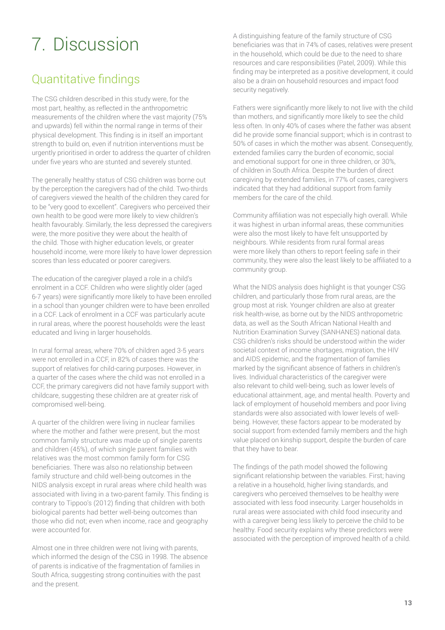# 7. Discussion

### Quantitative findings

The CSG children described in this study were, for the most part, healthy, as reflected in the anthropometric measurements of the children where the vast majority (75% and upwards) fell within the normal range in terms of their physical development. This finding is in itself an important strength to build on, even if nutrition interventions must be urgently prioritised in order to address the quarter of children under five years who are stunted and severely stunted.

The generally healthy status of CSG children was borne out by the perception the caregivers had of the child. Two-thirds of caregivers viewed the health of the children they cared for to be "very good to excellent". Caregivers who perceived their own health to be good were more likely to view children's health favourably. Similarly, the less depressed the caregivers were, the more positive they were about the health of the child. Those with higher education levels, or greater household income, were more likely to have lower depression scores than less educated or poorer caregivers.

The education of the caregiver played a role in a child's enrolment in a CCF. Children who were slightly older (aged 6-7 years) were significantly more likely to have been enrolled in a school than younger children were to have been enrolled in a CCF. Lack of enrolment in a CCF was particularly acute in rural areas, where the poorest households were the least educated and living in larger households.

In rural formal areas, where 70% of children aged 3-5 years were not enrolled in a CCF, in 82% of cases there was the support of relatives for child-caring purposes. However, in a quarter of the cases where the child was not enrolled in a CCF, the primary caregivers did not have family support with childcare, suggesting these children are at greater risk of compromised well-being.

A quarter of the children were living in nuclear families where the mother and father were present, but the most common family structure was made up of single parents and children (45%), of which single parent families with relatives was the most common family form for CSG beneficiaries. There was also no relationship between family structure and child well-being outcomes in the NIDS analysis except in rural areas where child health was associated with living in a two-parent family. This finding is contrary to Tippoo's (2012) finding that children with both biological parents had better well-being outcomes than those who did not; even when income, race and geography were accounted for.

Almost one in three children were not living with parents, which informed the design of the CSG in 1998. The absence of parents is indicative of the fragmentation of families in South Africa, suggesting strong continuities with the past and the present.

A distinguishing feature of the family structure of CSG beneficiaries was that in 74% of cases, relatives were present in the household, which could be due to the need to share resources and care responsibilities (Patel, 2009). While this finding may be interpreted as a positive development, it could also be a drain on household resources and impact food security negatively.

Fathers were significantly more likely to not live with the child than mothers, and significantly more likely to see the child less often. In only 40% of cases where the father was absent did he provide some financial support; which is in contrast to 50% of cases in which the mother was absent. Consequently, extended families carry the burden of economic, social and emotional support for one in three children, or 30%, of children in South Africa. Despite the burden of direct caregiving by extended families, in 77% of cases, caregivers indicated that they had additional support from family members for the care of the child.

Community affiliation was not especially high overall. While it was highest in urban informal areas, these communities were also the most likely to have felt unsupported by neighbours. While residents from rural formal areas were more likely than others to report feeling safe in their community, they were also the least likely to be affiliated to a community group.

What the NIDS analysis does highlight is that younger CSG children, and particularly those from rural areas, are the group most at risk. Younger children are also at greater risk health-wise, as borne out by the NIDS anthropometric data, as well as the South African National Health and Nutrition Examination Survey (SANHANES) national data. CSG children's risks should be understood within the wider societal context of income shortages, migration, the HIV and AIDS epidemic, and the fragmentation of families marked by the significant absence of fathers in children's lives. Individual characteristics of the caregiver were also relevant to child well-being, such as lower levels of educational attainment, age, and mental health. Poverty and lack of employment of household members and poor living standards were also associated with lower levels of wellbeing. However, these factors appear to be moderated by social support from extended family members and the high value placed on kinship support, despite the burden of care that they have to bear.

The findings of the path model showed the following significant relationship between the variables. First; having a relative in a household, higher living standards, and caregivers who perceived themselves to be healthy were associated with less food insecurity. Larger households in rural areas were associated with child food insecurity and with a caregiver being less likely to perceive the child to be healthy. Food security explains why these predictors were associated with the perception of improved health of a child.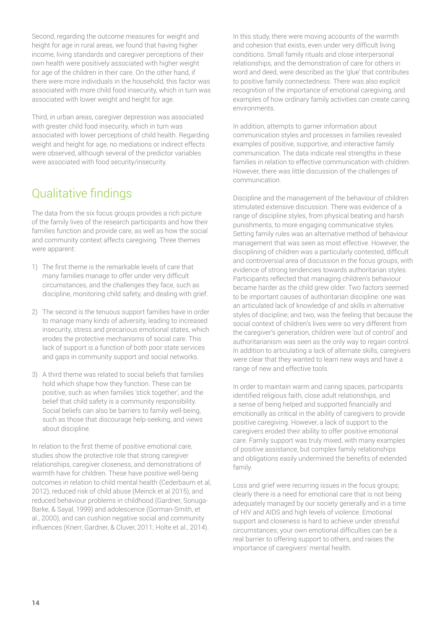Second, regarding the outcome measures for weight and height for age in rural areas, we found that having higher income, living standards and caregiver perceptions of their own health were positively associated with higher weight for age of the children in their care. On the other hand, if there were more individuals in the household, this factor was associated with more child food insecurity, which in turn was associated with lower weight and height for age.

Third, in urban areas, caregiver depression was associated with greater child food insecurity, which in turn was associated with lower perceptions of child health. Regarding weight and height for age, no mediations or indirect effects were observed, although several of the predictor variables were associated with food security/insecurity.

### Qualitative findings

The data from the six focus groups provides a rich picture of the family lives of the research participants and how their families function and provide care, as well as how the social and community context affects caregiving. Three themes were apparent:

- 1) The first theme is the remarkable levels of care that many families manage to offer under very difficult circumstances, and the challenges they face, such as discipline, monitoring child safety, and dealing with grief.
- 2) The second is the tenuous support families have in order to manage many kinds of adversity, leading to increased insecurity, stress and precarious emotional states, which erodes the protective mechanisms of social care. This lack of support is a function of both poor state services and gaps in community support and social networks.
- 3) A third theme was related to social beliefs that families hold which shape how they function. These can be positive, such as when families 'stick together', and the belief that child safety is a community responsibility. Social beliefs can also be barriers to family well-being, such as those that discourage help-seeking, and views about discipline.

In relation to the first theme of positive emotional care, studies show the protective role that strong caregiver relationships, caregiver closeness, and demonstrations of warmth have for children. These have positive well-being outcomes in relation to child mental health (Cederbaum et al, 2012), reduced risk of child abuse (Meinck et al 2015), and reduced behaviour problems in childhood (Gardner, Sonuga-Barke, & Sayal, 1999) and adolescence (Gorman-Smith, et al., 2000), and can cushion negative social and community influences (Knerr, Gardner, & Cluver, 2011; Holte et al., 2014).

In this study, there were moving accounts of the warmth and cohesion that exists, even under very difficult living conditions. Small family rituals and close interpersonal relationships, and the demonstration of care for others in word and deed, were described as the 'glue' that contributes to positive family connectedness. There was also explicit recognition of the importance of emotional caregiving, and examples of how ordinary family activities can create caring environments.

In addition, attempts to garner information about communication styles and processes in families revealed examples of positive, supportive, and interactive family communication. The data indicate real strengths in these families in relation to effective communication with children. However, there was little discussion of the challenges of communication.

Discipline and the management of the behaviour of children stimulated extensive discussion. There was evidence of a range of discipline styles, from physical beating and harsh punishments, to more engaging communicative styles. Setting family rules was an alternative method of behaviour management that was seen as most effective. However, the disciplining of children was a particularly contested, difficult and controversial area of discussion in the focus groups, with evidence of strong tendencies towards authoritarian styles. Participants reflected that managing children's behaviour became harder as the child grew older. Two factors seemed to be important causes of authoritarian discipline: one was an articulated lack of knowledge of and skills in alternative styles of discipline; and two, was the feeling that because the social context of children's lives were so very different from the caregiver's generation, children were 'out of control' and authoritarianism was seen as the only way to regain control. In addition to articulating a lack of alternate skills, caregivers were clear that they wanted to learn new ways and have a range of new and effective tools.

In order to maintain warm and caring spaces, participants identified religious faith, close adult relationships, and a sense of being helped and supported financially and emotionally as critical in the ability of caregivers to provide positive caregiving. However, a lack of support to the caregivers eroded their ability to offer positive emotional care. Family support was truly mixed, with many examples of positive assistance, but complex family relationships and obligations easily undermined the benefits of extended family.

Loss and grief were recurring issues in the focus groups; clearly there is a need for emotional care that is not being adequately managed by our society generally and in a time of HIV and AIDS and high levels of violence. Emotional support and closeness is hard to achieve under stressful circumstances; your own emotional difficulties can be a real barrier to offering support to others, and raises the importance of caregivers' mental health.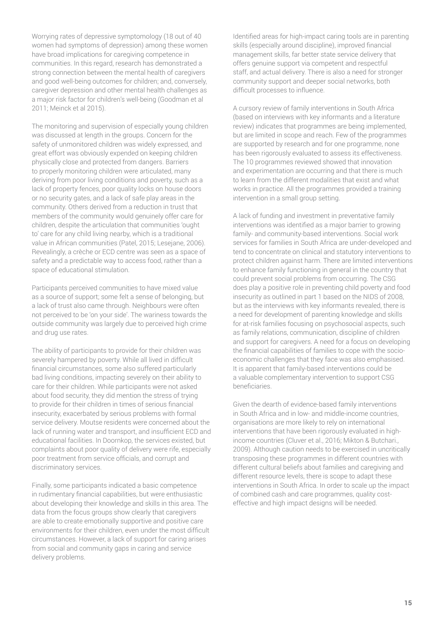Worrying rates of depressive symptomology (18 out of 40 women had symptoms of depression) among these women have broad implications for caregiving competence in communities. In this regard, research has demonstrated a strong connection between the mental health of caregivers and good well-being outcomes for children; and, conversely, caregiver depression and other mental health challenges as a major risk factor for children's well-being (Goodman et al 2011; Meinck et al 2015).

The monitoring and supervision of especially young children was discussed at length in the groups. Concern for the safety of unmonitored children was widely expressed, and great effort was obviously expended on keeping children physically close and protected from dangers. Barriers to properly monitoring children were articulated, many deriving from poor living conditions and poverty, such as a lack of property fences, poor quality locks on house doors or no security gates, and a lack of safe play areas in the community. Others derived from a reduction in trust that members of the community would genuinely offer care for children, despite the articulation that communities 'ought to' care for any child living nearby, which is a traditional value in African communities (Patel, 2015; Lesejane, 2006). Revealingly, a crèche or ECD centre was seen as a space of safety and a predictable way to access food, rather than a space of educational stimulation.

Participants perceived communities to have mixed value as a source of support; some felt a sense of belonging, but a lack of trust also came through. Neighbours were often not perceived to be 'on your side'. The wariness towards the outside community was largely due to perceived high crime and drug use rates.

The ability of participants to provide for their children was severely hampered by poverty. While all lived in difficult financial circumstances, some also suffered particularly bad living conditions, impacting severely on their ability to care for their children. While participants were not asked about food security, they did mention the stress of trying to provide for their children in times of serious financial insecurity, exacerbated by serious problems with formal service delivery. Moutse residents were concerned about the lack of running water and transport, and insufficient ECD and educational facilities. In Doornkop, the services existed, but complaints about poor quality of delivery were rife, especially poor treatment from service officials, and corrupt and discriminatory services.

Finally, some participants indicated a basic competence in rudimentary financial capabilities, but were enthusiastic about developing their knowledge and skills in this area. The data from the focus groups show clearly that caregivers are able to create emotionally supportive and positive care environments for their children, even under the most difficult circumstances. However, a lack of support for caring arises from social and community gaps in caring and service delivery problems.

Identified areas for high-impact caring tools are in parenting skills (especially around discipline), improved financial management skills, far better state service delivery that offers genuine support via competent and respectful staff, and actual delivery. There is also a need for stronger community support and deeper social networks, both difficult processes to influence.

A cursory review of family interventions in South Africa (based on interviews with key informants and a literature review) indicates that programmes are being implemented, but are limited in scope and reach. Few of the programmes are supported by research and for one programme, none has been rigorously evaluated to assess its effectiveness. The 10 programmes reviewed showed that innovation and experimentation are occurring and that there is much to learn from the different modalities that exist and what works in practice. All the programmes provided a training intervention in a small group setting.

A lack of funding and investment in preventative family interventions was identified as a major barrier to growing family- and community-based interventions. Social work services for families in South Africa are under-developed and tend to concentrate on clinical and statutory interventions to protect children against harm. There are limited interventions to enhance family functioning in general in the country that could prevent social problems from occurring. The CSG does play a positive role in preventing child poverty and food insecurity as outlined in part 1 based on the NIDS of 2008, but as the interviews with key informants revealed, there is a need for development of parenting knowledge and skills for at-risk families focusing on psychosocial aspects, such as family relations, communication, discipline of children and support for caregivers. A need for a focus on developing the financial capabilities of families to cope with the socioeconomic challenges that they face was also emphasised. It is apparent that family-based interventions could be a valuable complementary intervention to support CSG beneficiaries.

Given the dearth of evidence-based family interventions in South Africa and in low- and middle-income countries, organisations are more likely to rely on international interventions that have been rigorously evaluated in highincome countries (Cluver et al., 2016; Mikton & Butchari., 2009). Although caution needs to be exercised in uncritically transposing these programmes in different countries with different cultural beliefs about families and caregiving and different resource levels, there is scope to adapt these interventions in South Africa. In order to scale up the impact of combined cash and care programmes, quality costeffective and high impact designs will be needed.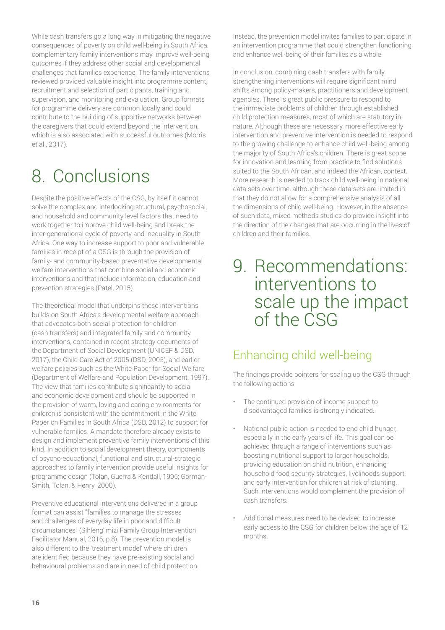While cash transfers go a long way in mitigating the negative consequences of poverty on child well-being in South Africa, complementary family interventions may improve well-being outcomes if they address other social and developmental challenges that families experience. The family interventions reviewed provided valuable insight into programme content, recruitment and selection of participants, training and supervision, and monitoring and evaluation. Group formats for programme delivery are common locally and could contribute to the building of supportive networks between the caregivers that could extend beyond the intervention, which is also associated with successful outcomes (Morris et al., 2017).

# 8. Conclusions

Despite the positive effects of the CSG, by itself it cannot solve the complex and interlocking structural, psychosocial, and household and community level factors that need to work together to improve child well-being and break the inter-generational cycle of poverty and inequality in South Africa. One way to increase support to poor and vulnerable families in receipt of a CSG is through the provision of family- and community-based preventative developmental welfare interventions that combine social and economic interventions and that include information, education and prevention strategies (Patel, 2015).

The theoretical model that underpins these interventions builds on South Africa's developmental welfare approach that advocates both social protection for children (cash transfers) and integrated family and community interventions, contained in recent strategy documents of the Department of Social Development (UNICEF & DSD, 2017), the Child Care Act of 2005 (DSD, 2005), and earlier welfare policies such as the White Paper for Social Welfare (Department of Welfare and Population Development, 1997). The view that families contribute significantly to social and economic development and should be supported in the provision of warm, loving and caring environments for children is consistent with the commitment in the White Paper on Families in South Africa (DSD, 2012) to support for vulnerable families. A mandate therefore already exists to design and implement preventive family interventions of this kind. In addition to social development theory, components of psycho-educational, functional and structural-strategic approaches to family intervention provide useful insights for programme design (Tolan, Guerra & Kendall, 1995; Gorman-Smith, Tolan, & Henry, 2000).

Preventive educational interventions delivered in a group format can assist "families to manage the stresses and challenges of everyday life in poor and difficult circumstances" (Sihleng'imizi Family Group Intervention Facilitator Manual, 2016, p.8). The prevention model is also different to the 'treatment model' where children are identified because they have pre-existing social and behavioural problems and are in need of child protection. Instead, the prevention model invites families to participate in an intervention programme that could strengthen functioning and enhance well-being of their families as a whole.

In conclusion, combining cash transfers with family strengthening interventions will require significant mind shifts among policy-makers, practitioners and development agencies. There is great public pressure to respond to the immediate problems of children through established child protection measures, most of which are statutory in nature. Although these are necessary, more effective early intervention and preventive intervention is needed to respond to the growing challenge to enhance child well-being among the majority of South Africa's children. There is great scope for innovation and learning from practice to find solutions suited to the South African, and indeed the African, context. More research is needed to track child well-being in national data sets over time, although these data sets are limited in that they do not allow for a comprehensive analysis of all the dimensions of child well-being. However, in the absence of such data, mixed methods studies do provide insight into the direction of the changes that are occurring in the lives of children and their families.

### 9. Recommendations: interventions to scale up the impact of the CSG

### Enhancing child well-being

The findings provide pointers for scaling up the CSG through the following actions:

- The continued provision of income support to disadvantaged families is strongly indicated.
- National public action is needed to end child hunger, especially in the early years of life. This goal can be achieved through a range of interventions such as boosting nutritional support to larger households, providing education on child nutrition, enhancing household food security strategies, livelihoods support, and early intervention for children at risk of stunting. Such interventions would complement the provision of cash transfers.
- Additional measures need to be devised to increase early access to the CSG for children below the age of 12 months.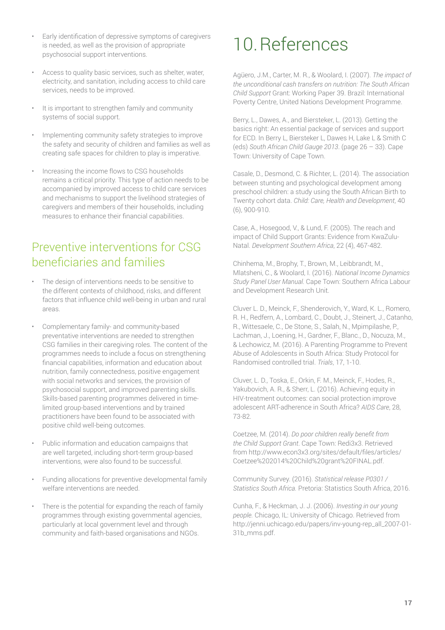- Early identification of depressive symptoms of caregivers is needed, as well as the provision of appropriate psychosocial support interventions.
- Access to quality basic services, such as shelter, water, electricity, and sanitation, including access to child care services, needs to be improved.
- It is important to strengthen family and community systems of social support.
- Implementing community safety strategies to improve the safety and security of children and families as well as creating safe spaces for children to play is imperative.
- Increasing the income flows to CSG households remains a critical priority. This type of action needs to be accompanied by improved access to child care services and mechanisms to support the livelihood strategies of caregivers and members of their households, including measures to enhance their financial capabilities.

### Preventive interventions for CSG beneficiaries and families

- The design of interventions needs to be sensitive to the different contexts of childhood, risks, and different factors that influence child well-being in urban and rural areas.
- Complementary family- and community-based preventative interventions are needed to strengthen CSG families in their caregiving roles. The content of the programmes needs to include a focus on strengthening financial capabilities, information and education about nutrition, family connectedness, positive engagement with social networks and services, the provision of psychosocial support, and improved parenting skills. Skills-based parenting programmes delivered in timelimited group-based interventions and by trained practitioners have been found to be associated with positive child well-being outcomes.
- Public information and education campaigns that are well targeted, including short-term group-based interventions, were also found to be successful.
- Funding allocations for preventive developmental family welfare interventions are needed.
- There is the potential for expanding the reach of family programmes through existing governmental agencies, particularly at local government level and through community and faith-based organisations and NGOs.

## 10.References

Agüero, J.M., Carter, M. R., & Woolard, I. (2007). *The impact of the unconditional cash transfers on nutrition: The South African Child Support* Grant: Working Paper 39. Brazil: International Poverty Centre, United Nations Development Programme.

Berry, L., Dawes, A., and Biersteker, L. (2013). Getting the basics right: An essential package of services and support for ECD. In Berry L, Biersteker L, Dawes H, Lake L & Smith C (eds) *South African Child Gauge 2013*. (page 26 – 33). Cape Town: University of Cape Town.

Casale, D., Desmond, C. & Richter, L. (2014). The association between stunting and psychological development among preschool children: a study using the South African Birth to Twenty cohort data. *Child: Care, Health and Development*, 40 (6), 900-910.

Case, A., Hosegood, V., & Lund, F. (2005). The reach and impact of Child Support Grants: Evidence from KwaZulu-Natal. *Development Southern Africa*, 22 (4), 467-482.

Chinhema, M., Brophy, T., Brown, M., Leibbrandt, M., Mlatsheni, C., & Woolard, I. (2016). *National Income Dynamics Study Panel User Manual.* Cape Town: Southern Africa Labour and Development Research Unit.

Cluver L. D., Meinck, F., Shenderovich, Y., Ward, K. L., Romero, R. H., Redfern, A., Lombard, C., Doubt, J., Steinert, J., Catanho, R., Wittesaele, C., De Stone, S., Salah, N., Mpimpilashe, P., Lachman, J., Loening, H., Gardner, F., Blanc., D., Nocuza, M., & Lechowicz, M. (2016). A Parenting Programme to Prevent Abuse of Adolescents in South Africa: Study Protocol for Randomised controlled trial. *Trials*, 17, 1-10.

Cluver, L. D., Toska, E., Orkin, F. M., Meinck, F., Hodes, R., Yakubovich, A. R., & Sherr, L. (2016). Achieving equity in HIV-treatment outcomes: can social protection improve adolescent ART-adherence in South Africa? *AIDS Care*, 28, 73-82.

Coetzee, M. (2014). *Do poor children really benefit from the Child Support Grant*. Cape Town: Redi3x3. Retrieved from http://www.econ3x3.org/sites/default/files/articles/ Coetzee%202014%20Child%20grant%20FINAL.pdf.

Community Survey. (2016). *Statistical release P0301 / Statistics South Africa.* Pretoria: Statistics South Africa, 2016.

Cunha, F., & Heckman, J. J. (2006). *Investing in our young people.* Chicago, IL: University of Chicago. Retrieved from http://jenni.uchicago.edu/papers/inv-young-rep\_all\_2007-01- 31b\_mms.pdf.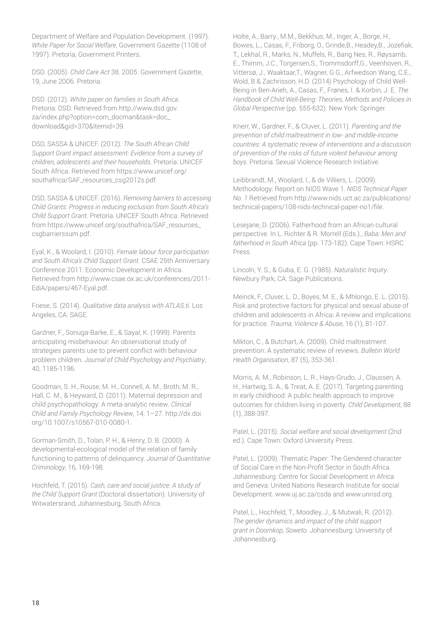Department of Welfare and Population Development. (1997). *White Paper for Social Welfare*, Government Gazette (1108 of 1997). Pretoria, Government Printers.

DSD. (2005). *Child Care Act* 38. 2005. Government Gazette, 19, June 2006. Pretoria.

DSD. (2012). *White paper on families in South Africa*. Pretoria: DSD. Retrieved from http://www.dsd.gov. za/index.php?option=com\_docman&task=doc\_ download&gid=370&Itemid=39.

DSD, SASSA & UNICEF. (2012). *The South African Child Support Grant impact assessment: Evidence from a survey of children, adolescents and their households*. Pretoria: UNICEF South Africa. Retrieved from https://www.unicef.org/ southafrica/SAF\_resources\_csg2012s.pdf.

DSD, SASSA & UNICEF. (2016). *Removing barriers to accessing Child Grants: Progress in reducing exclusion from South Africa's Child Support Grant.* Pretoria: UNICEF South Africa. Retrieved from https://www.unicef.org/southafrica/SAF\_resources\_ csgbarrierssum.pdf.

Eyal, K., & Woolard, I. (2010). *Female labour force participation and South Africa's Child Support Grant.* CSAE 25th Anniversary Conference 2011: Economic Development in Africa. Retrieved from http://www.csae.ox.ac.uk/conferences/2011- EdiA/papers/467-Eyal.pdf.

Friese, S. (2014). *Qualitative data analysis with ATLAS.ti.* Los Angeles, CA: SAGE.

Gardner, F., Sonuga-Barke, E., & Sayal, K. (1999). Parents anticipating misbehaviour: An observational study of strategies parents use to prevent conflict with behaviour problem children. *Journal of Child Psychology and Psychiatry*, 40, 1185-1196.

Goodman, S. H., Rouse, M. H., Connell, A. M., Broth, M. R., Hall, C. M., & Heyward, D. (2011). Maternal depression and child psychopathology: A meta-analytic review. *Clinical Child and Family Psychology Review*, 14, 1–27. http://dx.doi. org/10.1007/s10567-010-0080-1.

Gorman-Smith, D., Tolan, P. H., & Henry, D. B. (2000). A developmental-ecological model of the relation of family functioning to patterns of delinquency. *Journal of Quantitative Criminology*, 16, 169-198.

Hochfeld, T. (2015). *Cash, care and social justice: A study of the Child Support Grant* (Doctoral dissertation). University of Witwatersrand, Johannesburg, South Africa.

Holte, A., Barry., M.M., Bekkhus, M., Inger, A., Borge, H., Bowes, L., Casas, F., Friborg, O., Grinde,B., Headey,B., Jozefiak, T., Lekhal, R., Marks, N., Muffels, R., Bang Nes, R., Røysamb, E., Thimm, J.C., Torgersen,S., Trommsdorff,G., Veenhoven, R., Vittersø, J., Waaktaar,T., Wagner, G.G., Arfwedson Wang, C.E., Wold, B & Zachrisson, H.D. (2014) Psychology of Child Well-Being in Ben-Arieh, A., Casas, F., Frønes, I. & Korbin, J. E. *The Handbook of Child Well-Being: Theories, Methods and Policies in Global Perspective* (pp. 555-632). New York: Springer.

Knerr, W., Gardner, F., & Cluver, L. (2011). *Parenting and the prevention of child maltreatment in low- and middle-income countries: A systematic review of interventions and a discussion of prevention of the risks of future violent behaviour among boys.* Pretoria: Sexual Violence Research Initiative.

Leibbrandt, M., Woolard, I., & de Villiers, L. (2009). Methodology: Report on NIDS Wave 1. *NIDS Technical Paper No. 1* Retrieved from http://www.nids.uct.ac.za/publications/ technical-papers/108-nids-technical-paper-no1/file.

Lesejane, D. (2006). Fatherhood from an African cultural perspective. In L. Richter & R. Morrell (Eds.)., *Baba: Men and fatherhood in South Africa* (pp. 173-182). Cape Town: HSRC Press.

Lincoln, Y. S., & Guba, E. G. (1985). *Naturalistic Inquiry*. Newbury Park, CA: Sage Publications.

Meinck, F., Cluver, L. D., Boyes, M. E., & Mhlongo, E. L. (2015). Risk and protective factors for physical and sexual abuse of children and adolescents in Africa: A review and implications for practice. *Trauma, Violence & Abuse*, 16 (1), 81-107.

Mikton, C., & Butchart, A. (2009). Child maltreatment prevention: A systematic review of reviews. *Bulletin World Health Organisation*, 87 (5), 353-361.

Morris, A. M., Robinson, L. R., Hays-Grudo, J., Claussen, A. H., Hartwig, S. A., & Treat, A. E. (2017). Targeting parenting in early childhood: A public health approach to improve outcomes for children living in poverty. *Child Development*, 88 (1), 388-397.

Patel, L. (2015). *Social welfare and social development* (2nd ed.). Cape Town: Oxford University Press.

Patel, L. (2009). Thematic Paper: The Gendered character of Social Care in the Non-Profit Sector in South Africa. Johannesburg: Centre for Social Development in Africa and Geneva: United Nations Research Institute for social Development. www.uj.ac.za/csda and www.unrisd.org.

Patel, L., Hochfeld, T., Moodley, J., & Mutwali, R. (2012). *The gender dynamics and impact of the child support grant in Doornkop, Soweto.* Johannesburg: University of Johannesburg.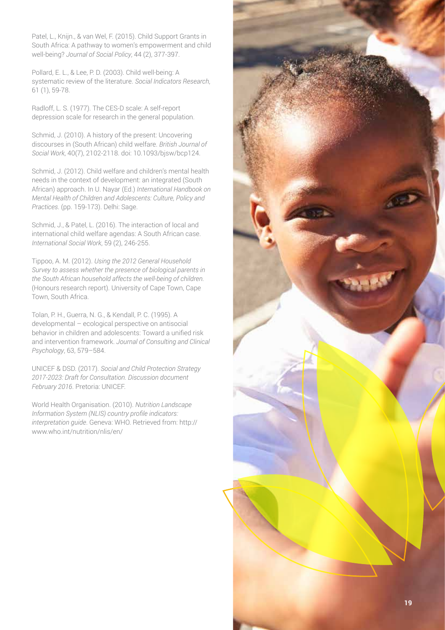Patel, L., Knijn., & van Wel, F. (2015). Child Support Grants in South Africa: A pathway to women's empowerment and child well-being? *Journal of Social Policy*, 44 (2), 377-397.

Pollard, E. L., & Lee, P. D. (2003). Child well-being: A systematic review of the literature. *Social Indicators Research*, 61 (1), 59-78.

Radloff, L. S. (1977). The CES-D scale: A self-report depression scale for research in the general population.

Schmid, J. (2010). A history of the present: Uncovering discourses in (South African) child welfare. *British Journal of Social Work*, 40(7), 2102-2118. doi: 10.1093/bjsw/bcp124.

Schmid, J. (2012). Child welfare and children's mental health needs in the context of development: an integrated (South African) approach. In U. Nayar (Ed.) *International Handbook on Mental Health of Children and Adolescents: Culture, Policy and Practices*. (pp. 159-173). Delhi: Sage.

Schmid, J., & Patel, L. (2016). The interaction of local and international child welfare agendas: A South African case. *International Social Work*, 59 (2), 246-255.

Tippoo, A. M. (2012). *Using the 2012 General Household Survey to assess whether the presence of biological parents in the South African household affects the well-being of children.*  (Honours research report). University of Cape Town, Cape Town, South Africa.

Tolan, P. H., Guerra, N. G., & Kendall, P. C. (1995). A developmental – ecological perspective on antisocial behavior in children and adolescents: Toward a unified risk and intervention framework. *Journal of Consulting and Clinical Psychology*, 63, 579–584.

UNICEF & DSD. (2017). *Social and Child Protection Strategy 2017-2023: Draft for Consultation. Discussion document February 2016*. Pretoria: UNICEF.

World Health Organisation. (2010). *Nutrition Landscape Information System (NLIS) country profile indicators: interpretation guide*. Geneva: WHO. Retrieved from: http:// www.who.int/nutrition/nlis/en/